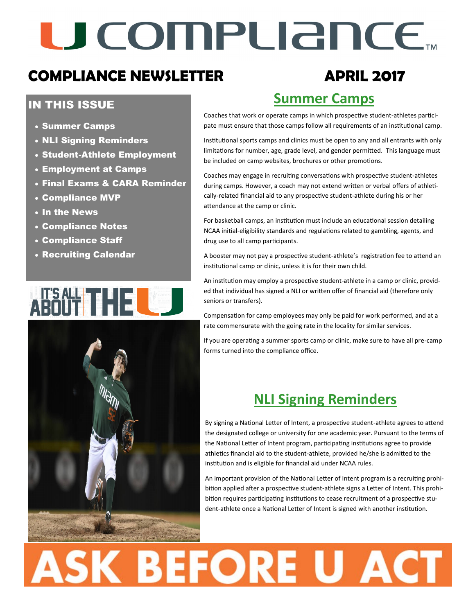# U COMPLIANCE.

### **COMPLIANCE NEWSLETTER APRIL 2017**

### IN THIS ISSUE

- Summer Camps
- NLI Signing Reminders
- Student-Athlete Employment
- Employment at Camps
- Final Exams & CARA Reminder
- Compliance MVP
- In the News
- Compliance Notes
- Compliance Staff
- Recruiting Calendar

## <u>HSZN4 T H H FI</u>



## **Summer Camps**

Coaches that work or operate camps in which prospective student-athletes participate must ensure that those camps follow all requirements of an institutional camp.

Institutional sports camps and clinics must be open to any and all entrants with only limitations for number, age, grade level, and gender permitted. This language must be included on camp websites, brochures or other promotions.

Coaches may engage in recruiting conversations with prospective student-athletes during camps. However, a coach may not extend written or verbal offers of athletically-related financial aid to any prospective student-athlete during his or her attendance at the camp or clinic.

For basketball camps, an institution must include an educational session detailing NCAA initial-eligibility standards and regulations related to gambling, agents, and drug use to all camp participants.

A booster may not pay a prospective student-athlete's registration fee to attend an institutional camp or clinic, unless it is for their own child.

An institution may employ a prospective student-athlete in a camp or clinic, provided that individual has signed a NLI or written offer of financial aid (therefore only seniors or transfers).

Compensation for camp employees may only be paid for work performed, and at a rate commensurate with the going rate in the locality for similar services.

If you are operating a summer sports camp or clinic, make sure to have all pre-camp forms turned into the compliance office.

### **NLI Signing Reminders**

By signing a National Letter of Intent, a prospective student-athlete agrees to attend the designated college or university for one academic year. Pursuant to the terms of the National Letter of Intent program, participating institutions agree to provide athletics financial aid to the student-athlete, provided he/she is admitted to the institution and is eligible for financial aid under NCAA rules.

An important provision of the National Letter of Intent program is a recruiting prohibition applied after a prospective student-athlete signs a Letter of Intent. This prohibition requires participating institutions to cease recruitment of a prospective student-athlete once a National Letter of Intent is signed with another institution.

# **ASK BEFORE U ACT**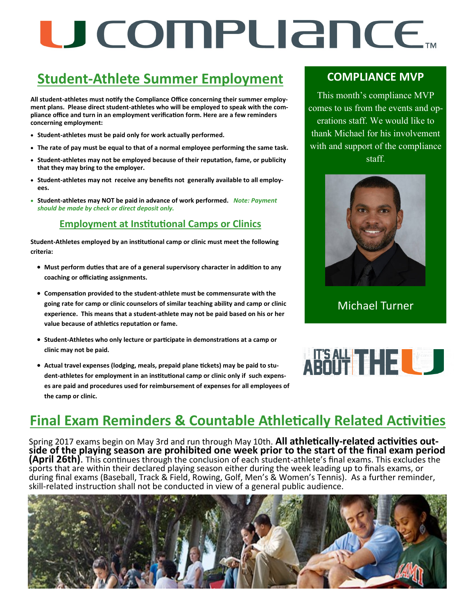# U COMPUANCE.

### **Student-Athlete Summer Employment**

**All student-athletes must notify the Compliance Office concerning their summer employment plans. Please direct student-athletes who will be employed to speak with the compliance office and turn in an employment verification form. Here are a few reminders concerning employment:**

- **Student-athletes must be paid only for work actually performed.**
- **The rate of pay must be equal to that of a normal employee performing the same task.**
- **Student-athletes may not be employed because of their reputation, fame, or publicity that they may bring to the employer.**
- **Student-athletes may not receive any benefits not generally available to all employees.**
- **Student-athletes may NOT be paid in advance of work performed.** *Note: Payment should be made by check or direct deposit only.*

#### **Employment at Institutional Camps or Clinics**

**Student-Athletes employed by an institutional camp or clinic must meet the following criteria:**

- **Must perform duties that are of a general supervisory character in addition to any coaching or officiating assignments.**
- **Compensation provided to the student-athlete must be commensurate with the going rate for camp or clinic counselors of similar teaching ability and camp or clinic experience. This means that a student-athlete may not be paid based on his or her value because of athletics reputation or fame.**
- **Student-Athletes who only lecture or participate in demonstrations at a camp or clinic may not be paid.**
- **Actual travel expenses (lodging, meals, prepaid plane tickets) may be paid to student-athletes for employment in an institutional camp or clinic only if such expenses are paid and procedures used for reimbursement of expenses for all employees of the camp or clinic.**

### **COMPLIANCE MVP**

This month's compliance MVP comes to us from the events and operations staff. We would like to thank Michael for his involvement with and support of the compliance staff.



#### Michael Turner



### **Final Exam Reminders & Countable Athletically Related Activities**

Spring 2017 exams begin on May 3rd and run through May 10th. **All athletically-related activities outside of the playing season are prohibited one week prior to the start of the final exam period (April 26th)**. This continues through the conclusion of each student-athlete's final exams. This excludes the sports that are within their declared playing season either during the week leading up to finals exams, or during final exams (Baseball, Track & Field, Rowing, Golf, Men's & Women's Tennis). As a further reminder, skill-related instruction shall not be conducted in view of a general public audience.

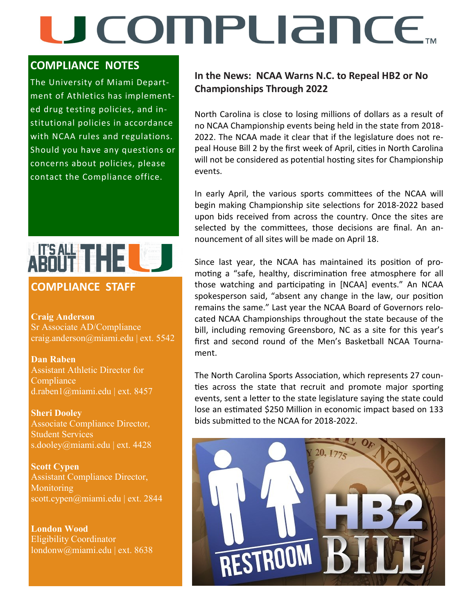## U COMPURNCE

#### **COMPLIANCE NOTES**

The University of Miami Department of Athletics has implemented drug testing policies, and institutional policies in accordance with NCAA rules and regulations. Should you have any questions or concerns about policies, please contact the Compliance office.



### **COMPLIANCE STAFF**

**Craig Anderson**  Sr Associate AD/Compliance craig.anderson@miami.edu | ext. 5542

**Dan Raben**  Assistant Athletic Director for **Compliance** d.raben1@miami.edu | ext. 8457

**Sheri Dooley** Associate Compliance Director, Student Services s.dooley@miami.edu | ext. 4428

**Scott Cypen** Assistant Compliance Director, Monitoring scott.cypen@miami.edu | ext. 2844

**London Wood** Eligibility Coordinator londonw@miami.edu | ext. 8638

#### **In the News: NCAA Warns N.C. to Repeal HB2 or No Championships Through 2022**

North Carolina is close to losing millions of dollars as a result of no NCAA Championship events being held in the state from 2018- 2022. The NCAA made it clear that if the legislature does not repeal House Bill 2 by the first week of April, cities in North Carolina will not be considered as potential hosting sites for Championship events.

In early April, the various sports committees of the NCAA will begin making Championship site selections for 2018-2022 based upon bids received from across the country. Once the sites are selected by the committees, those decisions are final. An announcement of all sites will be made on April 18.

Since last year, the NCAA has maintained its position of promoting a "safe, healthy, discrimination free atmosphere for all those watching and participating in [NCAA] events." An NCAA spokesperson said, "absent any change in the law, our position remains the same." Last year the NCAA Board of Governors relocated NCAA Championships throughout the state because of the bill, including removing Greensboro, NC as a site for this year's first and second round of the Men's Basketball NCAA Tournament.

The North Carolina Sports Association, which represents 27 counties across the state that recruit and promote major sporting events, sent a letter to the state legislature saying the state could lose an estimated \$250 Million in economic impact based on 133 bids submitted to the NCAA for 2018-2022.